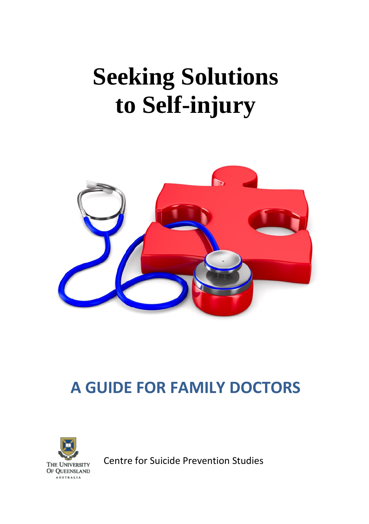# **Seeking Solutions to Self-injury**



## **A GUIDE FOR FAMILY DOCTORS**



Centre for Suicide Prevention Studies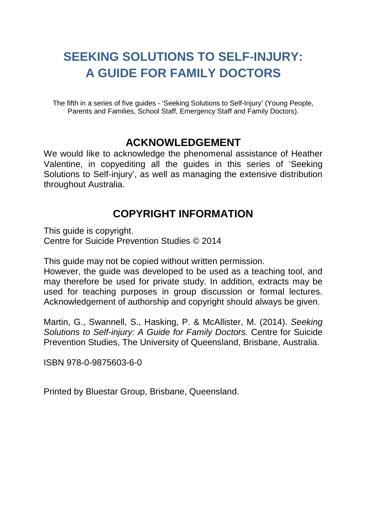## **SEEKING SOLUTIONS TO SELF-INJURY: A GUIDE FOR FAMILY DOCTORS**

The fifth in a series of five guides - 'Seeking Solutions to Self-Injury' (Young People, Parents and Families, School Staff, Emergency Staff and Family Doctors).

#### **ACKNOWLEDGEMENT**

We would like to acknowledge the phenomenal assistance of Heather Valentine, in copyediting all the guides in this series of 'Seeking Solutions to Self-injury', as well as managing the extensive distribution throughout Australia.

#### **COPYRIGHT INFORMATION**

This guide is copyright. Centre for Suicide Prevention Studies © 2014

This guide may not be copied without written permission.

However, the guide was developed to be used as a teaching tool, and may therefore be used for private study. In addition, extracts may be used for teaching purposes in group discussion or formal lectures. Acknowledgement of authorship and copyright should always be given.

Martin, G., Swannell, S., Hasking, P. & McAllister, M. (2014). *Seeking Solutions to Self-injury: A Guide for Family Doctors.* Centre for Suicide Prevention Studies, The University of Queensland, Brisbane, Australia.

ISBN 978-0-9875603-6-0

Printed by Bluestar Group, Brisbane, Queensland.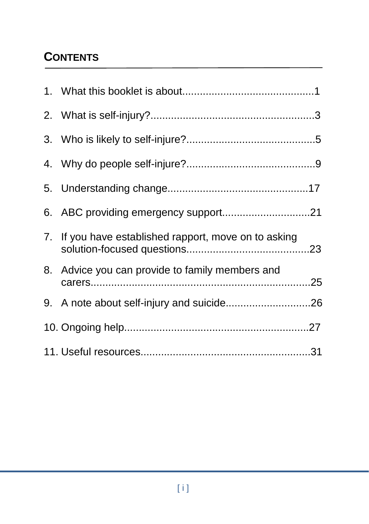## **CONTENTS**

| 7. If you have established rapport, move on to asking |  |
|-------------------------------------------------------|--|
| 8. Advice you can provide to family members and       |  |
|                                                       |  |
|                                                       |  |
|                                                       |  |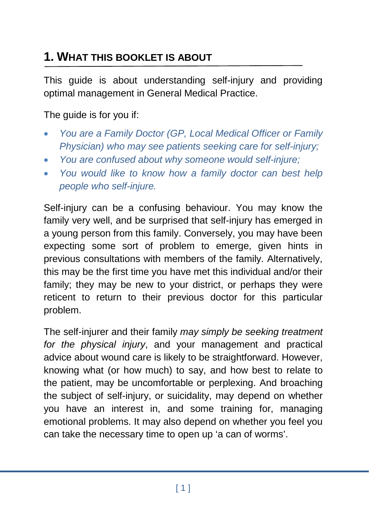## **1. WHAT THIS BOOKLET IS ABOUT**

This guide is about understanding self-injury and providing optimal management in General Medical Practice.

The guide is for you if:

- *You are a Family Doctor (GP, Local Medical Officer or Family Physician) who may see patients seeking care for self-injury;*
- *You are confused about why someone would self-injure;*
- *You would like to know how a family doctor can best help people who self-injure.*

Self-injury can be a confusing behaviour. You may know the family very well, and be surprised that self-injury has emerged in a young person from this family. Conversely, you may have been expecting some sort of problem to emerge, given hints in previous consultations with members of the family. Alternatively, this may be the first time you have met this individual and/or their family; they may be new to your district, or perhaps they were reticent to return to their previous doctor for this particular problem.

The self-injurer and their family *may simply be seeking treatment for the physical injury*, and your management and practical advice about wound care is likely to be straightforward. However, knowing what (or how much) to say, and how best to relate to the patient, may be uncomfortable or perplexing. And broaching the subject of self-injury, or suicidality, may depend on whether you have an interest in, and some training for, managing emotional problems. It may also depend on whether you feel you can take the necessary time to open up 'a can of worms'.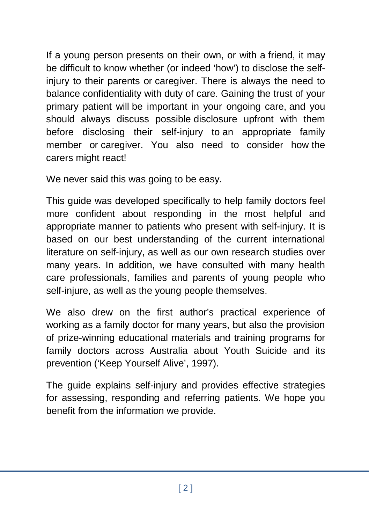If a young person presents on their own, or with a friend, it may be difficult to know whether (or indeed 'how') to disclose the selfinjury to their parents or caregiver. There is always the need to balance confidentiality with duty of care. Gaining the trust of your primary patient will be important in your ongoing care, and you should always discuss possible disclosure upfront with them before disclosing their self-injury to an appropriate family member or caregiver. You also need to consider how the carers might react!

We never said this was going to be easy.

This guide was developed specifically to help family doctors feel more confident about responding in the most helpful and appropriate manner to patients who present with self-injury. It is based on our best understanding of the current international literature on self-injury, as well as our own research studies over many years. In addition, we have consulted with many health care professionals, families and parents of young people who self-injure, as well as the young people themselves.

We also drew on the first author's practical experience of working as a family doctor for many years, but also the provision of prize-winning educational materials and training programs for family doctors across Australia about Youth Suicide and its prevention ('Keep Yourself Alive', 1997).

The guide explains self-injury and provides effective strategies for assessing, responding and referring patients. We hope you benefit from the information we provide.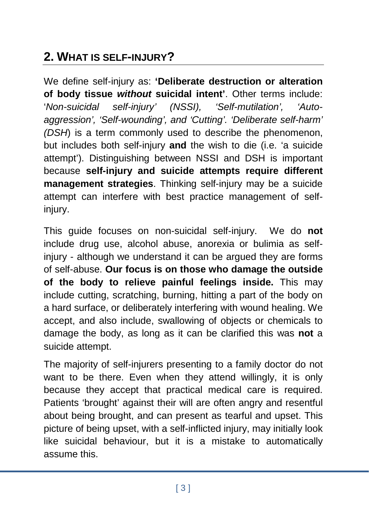## **2. WHAT IS SELF-INJURY?**

We define self-injury as: **'Deliberate destruction or alteration of body tissue** *without* **suicidal intent'**. Other terms include: '*Non-suicidal self-injury' (NSSI), 'Self-mutilation', 'Autoaggression', 'Self-wounding', and 'Cutting'. 'Deliberate self-harm' (DSH*) is a term commonly used to describe the phenomenon, but includes both self-injury **and** the wish to die (i.e. 'a suicide attempt'). Distinguishing between NSSI and DSH is important because **self-injury and suicide attempts require different management strategies**. Thinking self-injury may be a suicide attempt can interfere with best practice management of selfinjury.

This guide focuses on non-suicidal self-injury. We do **not** include drug use, alcohol abuse, anorexia or bulimia as selfinjury - although we understand it can be argued they are forms of self-abuse. **Our focus is on those who damage the outside of the body to relieve painful feelings inside.** This may include cutting, scratching, burning, hitting a part of the body on a hard surface, or deliberately interfering with wound healing. We accept, and also include, swallowing of objects or chemicals to damage the body, as long as it can be clarified this was **not** a suicide attempt.

The majority of self-injurers presenting to a family doctor do not want to be there. Even when they attend willingly, it is only because they accept that practical medical care is required. Patients 'brought' against their will are often angry and resentful about being brought, and can present as tearful and upset. This picture of being upset, with a self-inflicted injury, may initially look like suicidal behaviour, but it is a mistake to automatically assume this.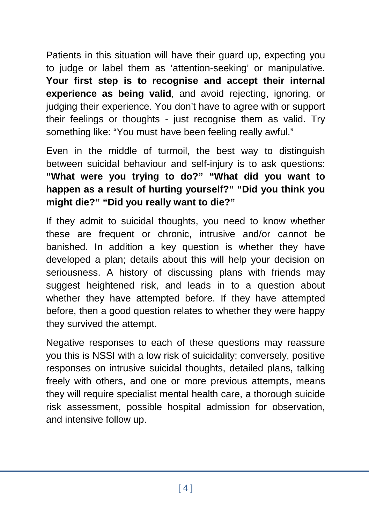Patients in this situation will have their guard up, expecting you to judge or label them as 'attention-seeking' or manipulative. **Your first step is to recognise and accept their internal experience as being valid**, and avoid rejecting, ignoring, or judging their experience. You don't have to agree with or support their feelings or thoughts - just recognise them as valid. Try something like: "You must have been feeling really awful."

Even in the middle of turmoil, the best way to distinguish between suicidal behaviour and self-injury is to ask questions: **"What were you trying to do?" "What did you want to happen as a result of hurting yourself?" "Did you think you might die?" "Did you really want to die?"**

If they admit to suicidal thoughts, you need to know whether these are frequent or chronic, intrusive and/or cannot be banished. In addition a key question is whether they have developed a plan; details about this will help your decision on seriousness. A history of discussing plans with friends may suggest heightened risk, and leads in to a question about whether they have attempted before. If they have attempted before, then a good question relates to whether they were happy they survived the attempt.

Negative responses to each of these questions may reassure you this is NSSI with a low risk of suicidality; conversely, positive responses on intrusive suicidal thoughts, detailed plans, talking freely with others, and one or more previous attempts, means they will require specialist mental health care, a thorough suicide risk assessment, possible hospital admission for observation, and intensive follow up.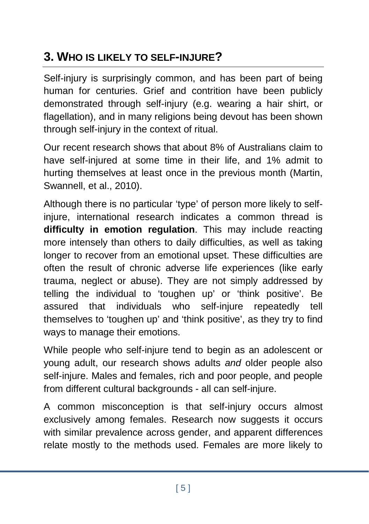## **3. WHO IS LIKELY TO SELF-INJURE?**

Self-injury is surprisingly common, and has been part of being human for centuries. Grief and contrition have been publicly demonstrated through self-injury (e.g. wearing a hair shirt, or flagellation), and in many religions being devout has been shown through self-injury in the context of ritual.

Our recent research shows that about 8% of Australians claim to have self-injured at some time in their life, and 1% admit to hurting themselves at least once in the previous month (Martin, Swannell, et al., 2010).

Although there is no particular 'type' of person more likely to selfinjure, international research indicates a common thread is **difficulty in emotion regulation**. This may include reacting more intensely than others to daily difficulties, as well as taking longer to recover from an emotional upset. These difficulties are often the result of chronic adverse life experiences (like early trauma, neglect or abuse). They are not simply addressed by telling the individual to 'toughen up' or 'think positive'. Be assured that individuals who self-injure repeatedly tell themselves to 'toughen up' and 'think positive', as they try to find ways to manage their emotions.

While people who self-injure tend to begin as an adolescent or young adult, our research shows adults *and* older people also self-injure. Males and females, rich and poor people, and people from different cultural backgrounds - all can self-injure.

A common misconception is that self-injury occurs almost exclusively among females. Research now suggests it occurs with similar prevalence across gender, and apparent differences relate mostly to the methods used. Females are more likely to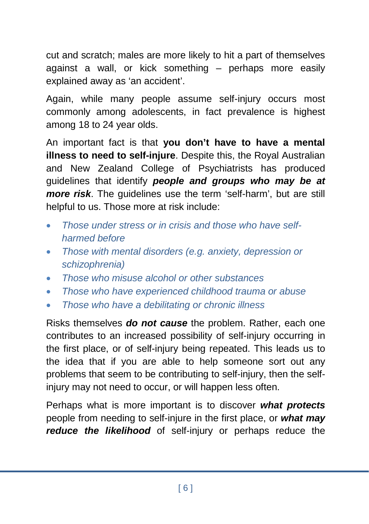cut and scratch; males are more likely to hit a part of themselves against a wall, or kick something – perhaps more easily explained away as 'an accident'.

Again, while many people assume self-injury occurs most commonly among adolescents, in fact prevalence is highest among 18 to 24 year olds.

An important fact is that **you don't have to have a mental illness to need to self-injure**. Despite this, the Royal Australian and New Zealand College of Psychiatrists has produced guidelines that identify *people and groups who may be at more risk*. The guidelines use the term 'self-harm', but are still helpful to us. Those more at risk include:

- *Those under stress or in crisis and those who have selfharmed before*
- *Those with mental disorders (e.g. anxiety, depression or schizophrenia)*
- *Those who misuse alcohol or other substances*
- *Those who have experienced childhood trauma or abuse*
- *Those who have a debilitating or chronic illness*

Risks themselves *do not cause* the problem. Rather, each one contributes to an increased possibility of self-injury occurring in the first place, or of self-injury being repeated. This leads us to the idea that if you are able to help someone sort out any problems that seem to be contributing to self-injury, then the selfinjury may not need to occur, or will happen less often.

Perhaps what is more important is to discover *what protects* people from needing to self-injure in the first place, or *what may reduce the likelihood* of self-injury or perhaps reduce the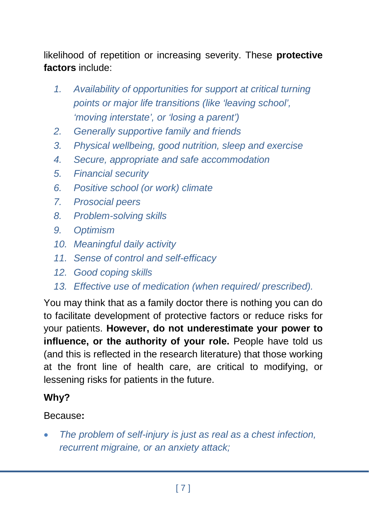likelihood of repetition or increasing severity. These **protective factors** include:

- *1. Availability of opportunities for support at critical turning points or major life transitions (like 'leaving school', 'moving interstate', or 'losing a parent')*
- *2. Generally supportive family and friends*
- *3. Physical wellbeing, good nutrition, sleep and exercise*
- *4. Secure, appropriate and safe accommodation*
- *5. Financial security*
- *6. Positive school (or work) climate*
- *7. Prosocial peers*
- *8. Problem-solving skills*
- *9. Optimism*
- *10. Meaningful daily activity*
- *11. Sense of control and self-efficacy*
- *12. Good coping skills*
- *13. Effective use of medication (when required/ prescribed).*

You may think that as a family doctor there is nothing you can do to facilitate development of protective factors or reduce risks for your patients. **However, do not underestimate your power to influence, or the authority of your role.** People have told us (and this is reflected in the research literature) that those working at the front line of health care, are critical to modifying, or lessening risks for patients in the future.

#### **Why?**

#### Because**:**

• *The problem of self-injury is just as real as a chest infection, recurrent migraine, or an anxiety attack;*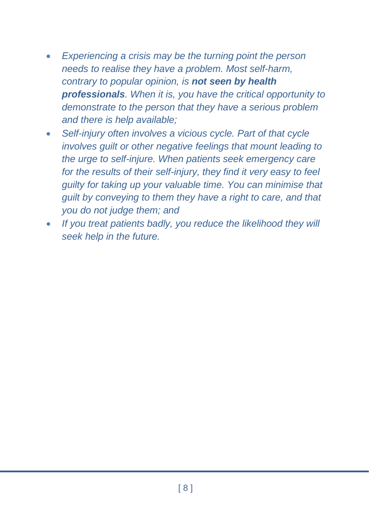- *Experiencing a crisis may be the turning point the person needs to realise they have a problem. Most self-harm, contrary to popular opinion, is not seen by health professionals. When it is, you have the critical opportunity to demonstrate to the person that they have a serious problem and there is help available;*
- *Self-injury often involves a vicious cycle. Part of that cycle involves guilt or other negative feelings that mount leading to the urge to self-injure. When patients seek emergency care for the results of their self-injury, they find it very easy to feel guilty for taking up your valuable time. You can minimise that guilt by conveying to them they have a right to care, and that you do not judge them; and*
- *If you treat patients badly, you reduce the likelihood they will seek help in the future.*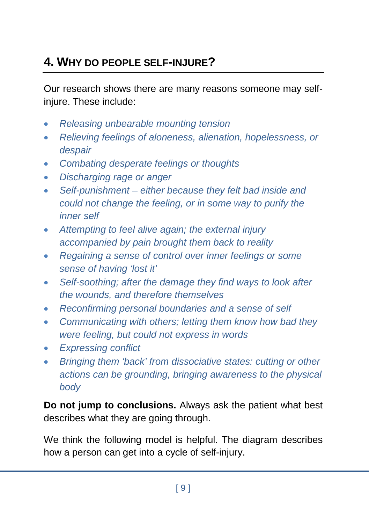## **4. WHY DO PEOPLE SELF-INJURE?**

Our research shows there are many reasons someone may selfinjure. These include:

- *Releasing unbearable mounting tension*
- *Relieving feelings of aloneness, alienation, hopelessness, or despair*
- *Combating desperate feelings or thoughts*
- *Discharging rage or anger*
- *Self-punishment – either because they felt bad inside and could not change the feeling, or in some way to purify the inner self*
- *Attempting to feel alive again; the external injury accompanied by pain brought them back to reality*
- *Regaining a sense of control over inner feelings or some sense of having 'lost it'*
- *Self-soothing; after the damage they find ways to look after the wounds, and therefore themselves*
- *Reconfirming personal boundaries and a sense of self*
- *Communicating with others; letting them know how bad they were feeling, but could not express in words*
- *Expressing conflict*
- *Bringing them 'back' from dissociative states: cutting or other actions can be grounding, bringing awareness to the physical body*

**Do not jump to conclusions.** Always ask the patient what best describes what they are going through.

We think the following model is helpful. The diagram describes how a person can get into a cycle of self-injury.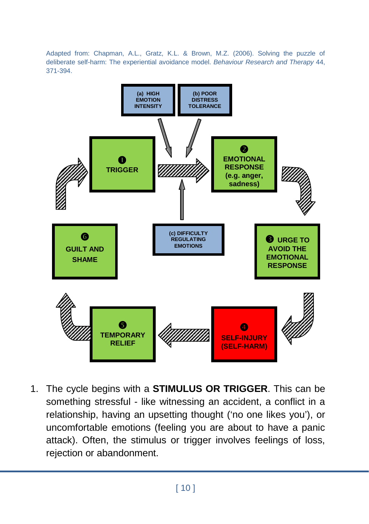Adapted from: Chapman, A.L., Gratz, K.L. & Brown, M.Z. (2006). Solving the puzzle of deliberate self-harm: The experiential avoidance model. *Behaviour Research and Therapy* 44, 371-394.



1. The cycle begins with a **STIMULUS OR TRIGGER**. This can be something stressful - like witnessing an accident, a conflict in a relationship, having an upsetting thought ('no one likes you'), or uncomfortable emotions (feeling you are about to have a panic attack). Often, the stimulus or trigger involves feelings of loss, rejection or abandonment.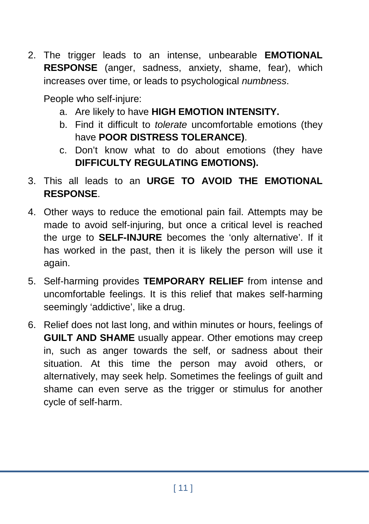2. The trigger leads to an intense, unbearable **EMOTIONAL RESPONSE** (anger, sadness, anxiety, shame, fear), which increases over time, or leads to psychological *numbness*.

People who self-injure:

- a. Are likely to have **HIGH EMOTION INTENSITY.**
- b. Find it difficult to *tolerate* uncomfortable emotions (they have **POOR DISTRESS TOLERANCE)**.
- c. Don't know what to do about emotions (they have **DIFFICULTY REGULATING EMOTIONS).**
- 3. This all leads to an **URGE TO AVOID THE EMOTIONAL RESPONSE**.
- 4. Other ways to reduce the emotional pain fail. Attempts may be made to avoid self-injuring, but once a critical level is reached the urge to **SELF-INJURE** becomes the 'only alternative'. If it has worked in the past, then it is likely the person will use it again.
- 5. Self-harming provides **TEMPORARY RELIEF** from intense and uncomfortable feelings. It is this relief that makes self-harming seemingly 'addictive', like a drug.
- 6. Relief does not last long, and within minutes or hours, feelings of **GUILT AND SHAME** usually appear. Other emotions may creep in, such as anger towards the self, or sadness about their situation. At this time the person may avoid others, or alternatively, may seek help. Sometimes the feelings of guilt and shame can even serve as the trigger or stimulus for another cycle of self-harm.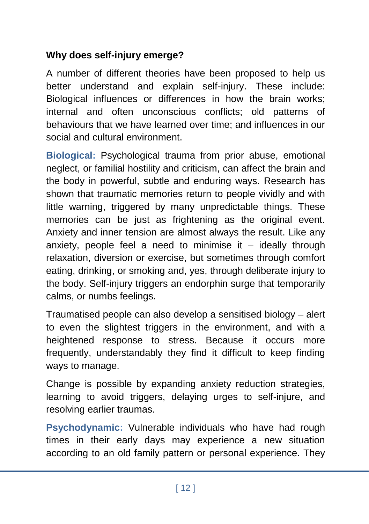#### **Why does self-injury emerge?**

A number of different theories have been proposed to help us better understand and explain self-injury. These include: Biological influences or differences in how the brain works; internal and often unconscious conflicts; old patterns of behaviours that we have learned over time; and influences in our social and cultural environment.

**Biological:** Psychological trauma from prior abuse, emotional neglect, or familial hostility and criticism, can affect the brain and the body in powerful, subtle and enduring ways. Research has shown that traumatic memories return to people vividly and with little warning, triggered by many unpredictable things. These memories can be just as frightening as the original event. Anxiety and inner tension are almost always the result. Like any anxiety, people feel a need to minimise it  $-$  ideally through relaxation, diversion or exercise, but sometimes through comfort eating, drinking, or smoking and, yes, through deliberate injury to the body. Self-injury triggers an endorphin surge that temporarily calms, or numbs feelings.

Traumatised people can also develop a sensitised biology – alert to even the slightest triggers in the environment, and with a heightened response to stress. Because it occurs more frequently, understandably they find it difficult to keep finding ways to manage.

Change is possible by expanding anxiety reduction strategies, learning to avoid triggers, delaying urges to self-injure, and resolving earlier traumas.

**Psychodynamic:** Vulnerable individuals who have had rough times in their early days may experience a new situation according to an old family pattern or personal experience. They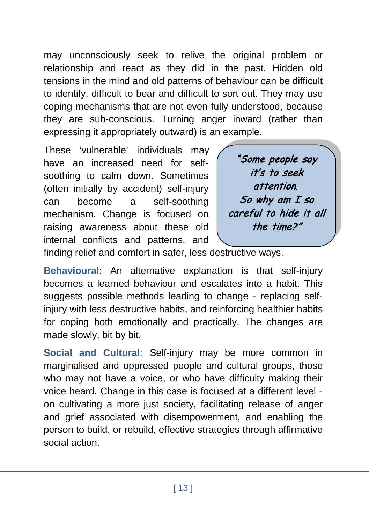may unconsciously seek to relive the original problem or relationship and react as they did in the past. Hidden old tensions in the mind and old patterns of behaviour can be difficult to identify, difficult to bear and difficult to sort out. They may use coping mechanisms that are not even fully understood, because they are sub-conscious. Turning anger inward (rather than expressing it appropriately outward) is an example.

These 'vulnerable' individuals may have an increased need for selfsoothing to calm down. Sometimes (often initially by accident) self-injury can become a self-soothing mechanism. Change is focused on raising awareness about these old internal conflicts and patterns, and



finding relief and comfort in safer, less destructive ways.

**Behavioural**: An alternative explanation is that self-injury becomes a learned behaviour and escalates into a habit. This suggests possible methods leading to change - replacing selfinjury with less destructive habits, and reinforcing healthier habits for coping both emotionally and practically. The changes are made slowly, bit by bit.

**Social and Cultural:** Self-injury may be more common in marginalised and oppressed people and cultural groups, those who may not have a voice, or who have difficulty making their voice heard. Change in this case is focused at a different level on cultivating a more just society, facilitating release of anger and grief associated with disempowerment, and enabling the person to build, or rebuild, effective strategies through affirmative social action.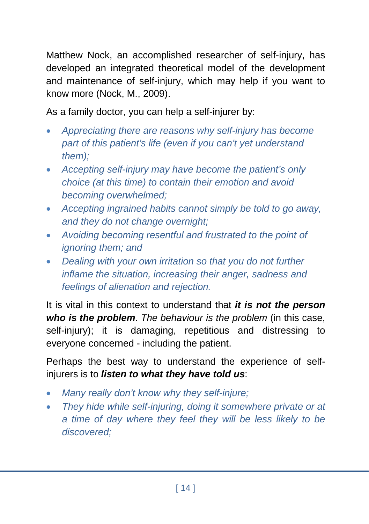Matthew Nock, an accomplished researcher of self-injury, has developed an integrated theoretical model of the development and maintenance of self-injury, which may help if you want to know more (Nock, M., 2009).

As a family doctor, you can help a self-injurer by:

- *Appreciating there are reasons why self-injury has become part of this patient's life (even if you can't yet understand them);*
- *Accepting self-injury may have become the patient's only choice (at this time) to contain their emotion and avoid becoming overwhelmed;*
- *Accepting ingrained habits cannot simply be told to go away, and they do not change overnight;*
- *Avoiding becoming resentful and frustrated to the point of ignoring them; and*
- *Dealing with your own irritation so that you do not further inflame the situation, increasing their anger, sadness and feelings of alienation and rejection.*

It is vital in this context to understand that *it is not the person who is the problem*. *The behaviour is the problem* (in this case, self-injury); it is damaging, repetitious and distressing to everyone concerned - including the patient.

Perhaps the best way to understand the experience of selfinjurers is to *listen to what they have told us*:

- *Many really don't know why they self-injure;*
- *They hide while self-injuring, doing it somewhere private or at a time of day where they feel they will be less likely to be discovered;*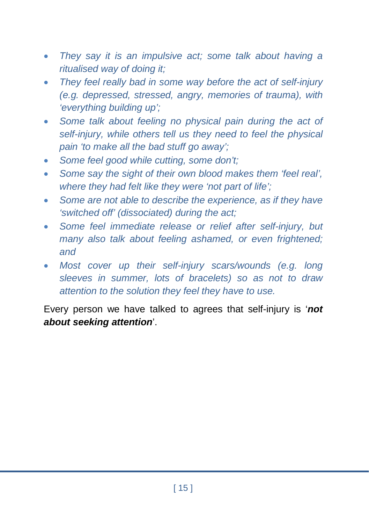- *They say it is an impulsive act; some talk about having a ritualised way of doing it;*
- *They feel really bad in some way before the act of self-injury (e.g. depressed, stressed, angry, memories of trauma), with 'everything building up';*
- Some talk about feeling no physical pain during the act of *self-injury, while others tell us they need to feel the physical pain 'to make all the bad stuff go away';*
- *Some feel good while cutting, some don't;*
- *Some say the sight of their own blood makes them 'feel real', where they had felt like they were 'not part of life';*
- Some are not able to describe the experience, as if they have *'switched off' (dissociated) during the act;*
- *Some feel immediate release or relief after self-injury, but many also talk about feeling ashamed, or even frightened; and*
- Most cover up their self-injury scars/wounds (e.g. long *sleeves in summer, lots of bracelets) so as not to draw attention to the solution they feel they have to use.*

Every person we have talked to agrees that self-injury is '*not about seeking attention*'.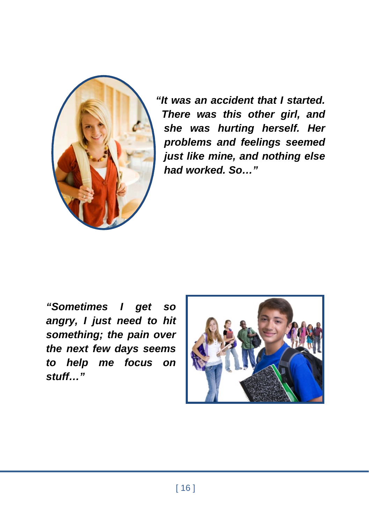

*"It was an accident that I started. There was this other girl, and she was hurting herself. Her problems and feelings seemed just like mine, and nothing else had worked. So…"*

*"Sometimes I get so angry, I just need to hit something; the pain over the next few days seems to help me focus on stuff…"*

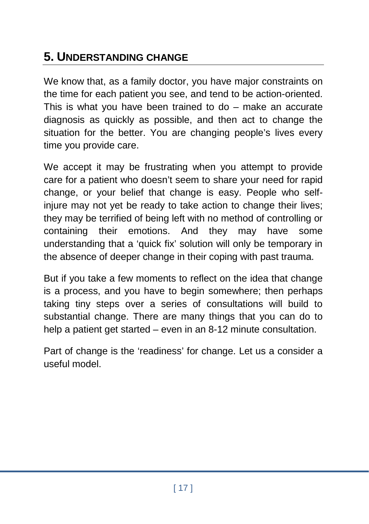## **5. UNDERSTANDING CHANGE**

We know that, as a family doctor, you have major constraints on the time for each patient you see, and tend to be action-oriented. This is what you have been trained to do – make an accurate diagnosis as quickly as possible, and then act to change the situation for the better. You are changing people's lives every time you provide care.

We accept it may be frustrating when you attempt to provide care for a patient who doesn't seem to share your need for rapid change, or your belief that change is easy. People who selfinjure may not yet be ready to take action to change their lives; they may be terrified of being left with no method of controlling or containing their emotions. And they may have some understanding that a 'quick fix' solution will only be temporary in the absence of deeper change in their coping with past trauma.

But if you take a few moments to reflect on the idea that change is a process, and you have to begin somewhere; then perhaps taking tiny steps over a series of consultations will build to substantial change. There are many things that you can do to help a patient get started – even in an 8-12 minute consultation.

Part of change is the 'readiness' for change. Let us a consider a useful model.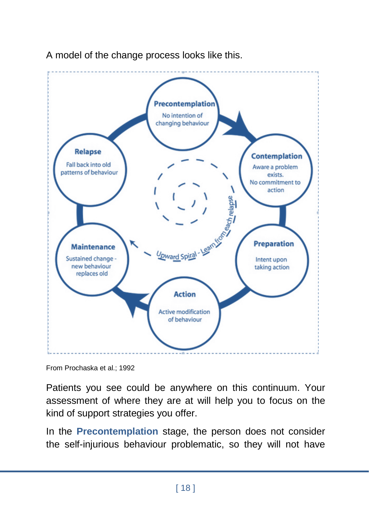

A model of the change process looks like this.

Patients you see could be anywhere on this continuum. Your assessment of where they are at will help you to focus on the kind of support strategies you offer.

In the **Precontemplation** stage, the person does not consider the self-injurious behaviour problematic, so they will not have

From Prochaska et al.; 1992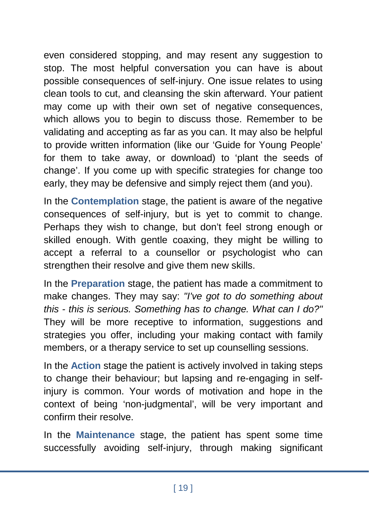even considered stopping, and may resent any suggestion to stop. The most helpful conversation you can have is about possible consequences of self-injury. One issue relates to using clean tools to cut, and cleansing the skin afterward. Your patient may come up with their own set of negative consequences, which allows you to begin to discuss those. Remember to be validating and accepting as far as you can. It may also be helpful to provide written information (like our 'Guide for Young People' for them to take away, or download) to 'plant the seeds of change'. If you come up with specific strategies for change too early, they may be defensive and simply reject them (and you).

In the **Contemplation** stage, the patient is aware of the negative consequences of self-injury, but is yet to commit to change. Perhaps they wish to change, but don't feel strong enough or skilled enough. With gentle coaxing, they might be willing to accept a referral to a counsellor or psychologist who can strengthen their resolve and give them new skills.

In the **Preparation** stage, the patient has made a commitment to make changes. They may say: *"I've got to do something about this - this is serious. Something has to change. What can I do?"*  They will be more receptive to information, suggestions and strategies you offer, including your making contact with family members, or a therapy service to set up counselling sessions.

In the **Action** stage the patient is actively involved in taking steps to change their behaviour; but lapsing and re-engaging in selfinjury is common. Your words of motivation and hope in the context of being 'non-judgmental', will be very important and confirm their resolve.

In the **Maintenance** stage, the patient has spent some time successfully avoiding self-injury, through making significant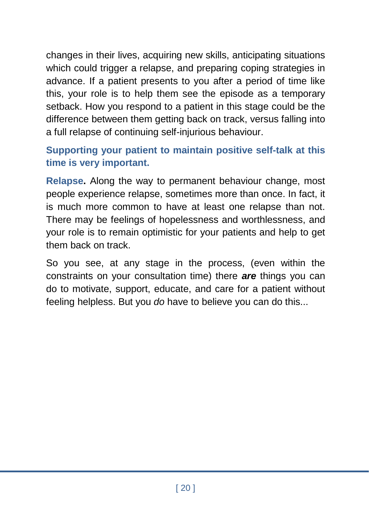changes in their lives, acquiring new skills, anticipating situations which could trigger a relapse, and preparing coping strategies in advance. If a patient presents to you after a period of time like this, your role is to help them see the episode as a temporary setback. How you respond to a patient in this stage could be the difference between them getting back on track, versus falling into a full relapse of continuing self-injurious behaviour.

#### **Supporting your patient to maintain positive self-talk at this time is very important.**

**Relapse.** Along the way to permanent behaviour change, most people experience relapse, sometimes more than once. In fact, it is much more common to have at least one relapse than not. There may be feelings of hopelessness and worthlessness, and your role is to remain optimistic for your patients and help to get them back on track.

So you see, at any stage in the process, (even within the constraints on your consultation time) there *are* things you can do to motivate, support, educate, and care for a patient without feeling helpless. But you *do* have to believe you can do this...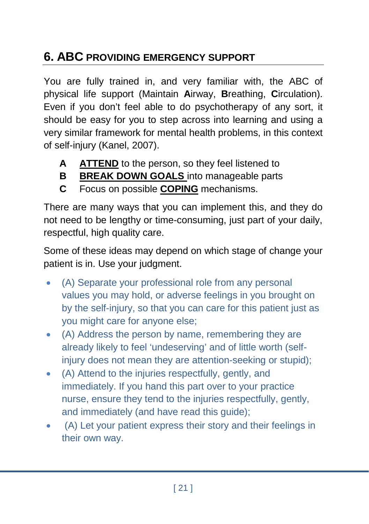## **6. ABC PROVIDING EMERGENCY SUPPORT**

You are fully trained in, and very familiar with, the ABC of physical life support (Maintain **A**irway, **B**reathing, **C**irculation). Even if you don't feel able to do psychotherapy of any sort, it should be easy for you to step across into learning and using a very similar framework for mental health problems, in this context of self-injury (Kanel, 2007).

- **A ATTEND** to the person, so they feel listened to
- **B BREAK DOWN GOALS** into manageable parts
- **C** Focus on possible **COPING** mechanisms.

There are many ways that you can implement this, and they do not need to be lengthy or time-consuming, just part of your daily, respectful, high quality care.

Some of these ideas may depend on which stage of change your patient is in. Use your judgment.

- (A) Separate your professional role from any personal values you may hold, or adverse feelings in you brought on by the self-injury, so that you can care for this patient just as you might care for anyone else;
- (A) Address the person by name, remembering they are already likely to feel 'undeserving' and of little worth (selfinjury does not mean they are attention-seeking or stupid);
- (A) Attend to the injuries respectfully, gently, and immediately. If you hand this part over to your practice nurse, ensure they tend to the injuries respectfully, gently, and immediately (and have read this guide);
- (A) Let your patient express their story and their feelings in their own way.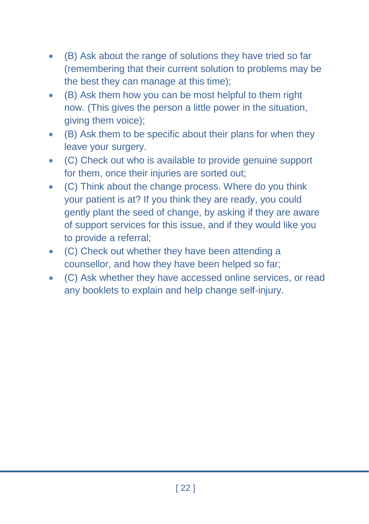- (B) Ask about the range of solutions they have tried so far (remembering that their current solution to problems may be the best they can manage at this time);
- (B) Ask them how you can be most helpful to them right now. (This gives the person a little power in the situation, giving them voice);
- (B) Ask them to be specific about their plans for when they leave your surgery.
- (C) Check out who is available to provide genuine support for them, once their injuries are sorted out;
- (C) Think about the change process. Where do you think your patient is at? If you think they are ready, you could gently plant the seed of change, by asking if they are aware of support services for this issue, and if they would like you to provide a referral;
- (C) Check out whether they have been attending a counsellor, and how they have been helped so far;
- (C) Ask whether they have accessed online services, or read any booklets to explain and help change self-injury.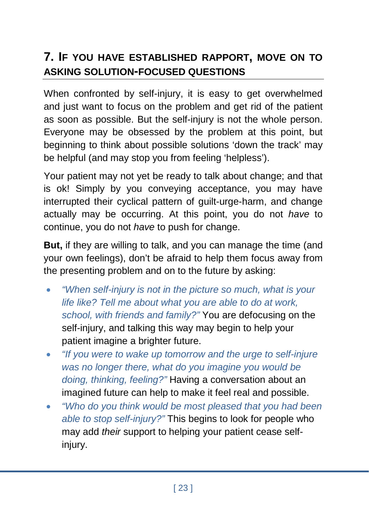## **7. IF YOU HAVE ESTABLISHED RAPPORT, MOVE ON TO ASKING SOLUTION-FOCUSED QUESTIONS**

When confronted by self-injury, it is easy to get overwhelmed and just want to focus on the problem and get rid of the patient as soon as possible. But the self-injury is not the whole person. Everyone may be obsessed by the problem at this point, but beginning to think about possible solutions 'down the track' may be helpful (and may stop you from feeling 'helpless').

Your patient may not yet be ready to talk about change; and that is ok! Simply by you conveying acceptance, you may have interrupted their cyclical pattern of guilt-urge-harm, and change actually may be occurring. At this point, you do not *have* to continue, you do not *have* to push for change.

**But,** if they are willing to talk, and you can manage the time (and your own feelings), don't be afraid to help them focus away from the presenting problem and on to the future by asking:

- *"When self-injury is not in the picture so much, what is your life like? Tell me about what you are able to do at work, school, with friends and family?"* You are defocusing on the self-injury, and talking this way may begin to help your patient imagine a brighter future.
- *"If you were to wake up tomorrow and the urge to self-injure was no longer there, what do you imagine you would be doing, thinking, feeling?"* Having a conversation about an imagined future can help to make it feel real and possible.
- *"Who do you think would be most pleased that you had been able to stop self-injury?"* This begins to look for people who may add *their* support to helping your patient cease selfinjury.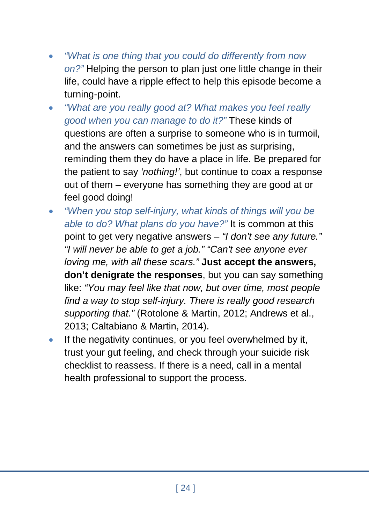- *"What is one thing that you could do differently from now on?"* Helping the person to plan just one little change in their life, could have a ripple effect to help this episode become a turning-point.
- *"What are you really good at? What makes you feel really good when you can manage to do it?"* These kinds of questions are often a surprise to someone who is in turmoil, and the answers can sometimes be just as surprising, reminding them they do have a place in life. Be prepared for the patient to say *'nothing!'*, but continue to coax a response out of them – everyone has something they are good at or feel good doing!
- *"When you stop self-injury, what kinds of things will you be able to do? What plans do you have?"* It is common at this point to get very negative answers – *"I don't see any future." "I will never be able to get a job." "Can't see anyone ever loving me, with all these scars."* **Just accept the answers, don't denigrate the responses**, but you can say something like: *"You may feel like that now, but over time, most people find a way to stop self-injury. There is really good research supporting that."* (Rotolone & Martin, 2012; Andrews et al., 2013; Caltabiano & Martin, 2014).
- If the negativity continues, or you feel overwhelmed by it, trust your gut feeling, and check through your suicide risk checklist to reassess. If there is a need, call in a mental health professional to support the process.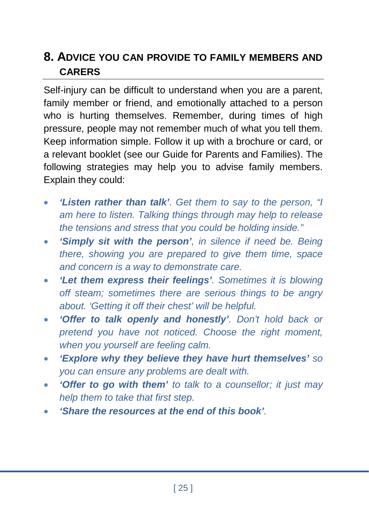## **8. ADVICE YOU CAN PROVIDE TO FAMILY MEMBERS AND CARERS**

Self-injury can be difficult to understand when you are a parent, family member or friend, and emotionally attached to a person who is hurting themselves. Remember, during times of high pressure, people may not remember much of what you tell them. Keep information simple. Follow it up with a brochure or card, or a relevant booklet (see our Guide for Parents and Families). The following strategies may help you to advise family members. Explain they could:

- *'Listen rather than talk'. Get them to say to the person, "I am here to listen. Talking things through may help to release the tensions and stress that you could be holding inside."*
- *'Simply sit with the person', in silence if need be. Being there, showing you are prepared to give them time, space and concern is a way to demonstrate care.*
- *'Let them express their feelings'. Sometimes it is blowing off steam; sometimes there are serious things to be angry about. 'Getting it off their chest' will be helpful.*
- *'Offer to talk openly and honestly'. Don't hold back or pretend you have not noticed. Choose the right moment, when you yourself are feeling calm.*
- *'Explore why they believe they have hurt themselves' so you can ensure any problems are dealt with.*
- *'Offer to go with them' to talk to a counsellor; it just may help them to take that first step.*
- *'Share the resources at the end of this book'.*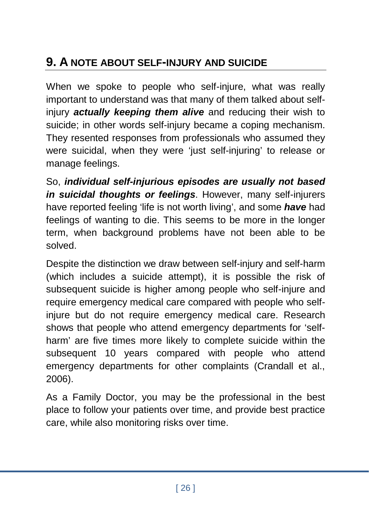## **9. A NOTE ABOUT SELF-INJURY AND SUICIDE**

When we spoke to people who self-injure, what was really important to understand was that many of them talked about selfinjury *actually keeping them alive* and reducing their wish to suicide; in other words self-injury became a coping mechanism. They resented responses from professionals who assumed they were suicidal, when they were 'just self-injuring' to release or manage feelings.

So, *individual self-injurious episodes are usually not based in suicidal thoughts or feelings*. However, many self-injurers have reported feeling 'life is not worth living', and some *have* had feelings of wanting to die. This seems to be more in the longer term, when background problems have not been able to be solved.

Despite the distinction we draw between self-injury and self-harm (which includes a suicide attempt), it is possible the risk of subsequent suicide is higher among people who self-injure and require emergency medical care compared with people who selfinjure but do not require emergency medical care. Research shows that people who attend emergency departments for 'selfharm' are five times more likely to complete suicide within the subsequent 10 years compared with people who attend emergency departments for other complaints (Crandall et al., 2006).

As a Family Doctor, you may be the professional in the best place to follow your patients over time, and provide best practice care, while also monitoring risks over time.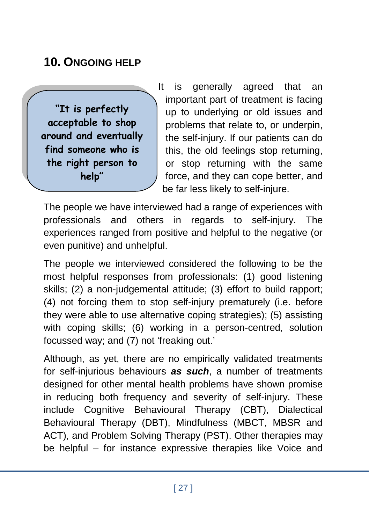## **10. ONGOING HELP**

**"It is perfectly acceptable to shop around and eventually find someone who is the right person to help"**

It is generally agreed that an important part of treatment is facing up to underlying or old issues and problems that relate to, or underpin, the self-injury. If our patients can do this, the old feelings stop returning, or stop returning with the same force, and they can cope better, and be far less likely to self-injure.

The people we have interviewed had a range of experiences with professionals and others in regards to self-injury. The experiences ranged from positive and helpful to the negative (or even punitive) and unhelpful.

The people we interviewed considered the following to be the most helpful responses from professionals: (1) good listening skills; (2) a non-judgemental attitude; (3) effort to build rapport; (4) not forcing them to stop self-injury prematurely (i.e. before they were able to use alternative coping strategies); (5) assisting with coping skills; (6) working in a person-centred, solution focussed way; and (7) not 'freaking out.'

Although, as yet, there are no empirically validated treatments for self-injurious behaviours *as such*, a number of treatments designed for other mental health problems have shown promise in reducing both frequency and severity of self-injury. These include Cognitive Behavioural Therapy (CBT), Dialectical Behavioural Therapy (DBT), Mindfulness (MBCT, MBSR and ACT), and Problem Solving Therapy (PST). Other therapies may be helpful – for instance expressive therapies like Voice and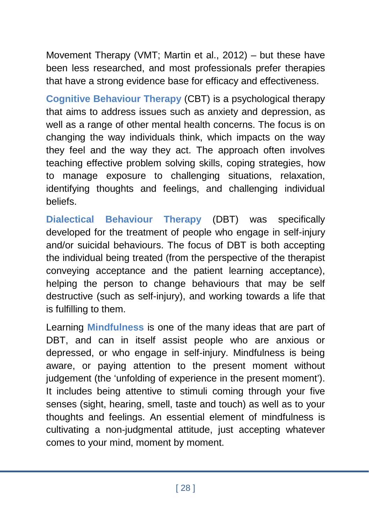Movement Therapy (VMT; Martin et al., 2012) – but these have been less researched, and most professionals prefer therapies that have a strong evidence base for efficacy and effectiveness.

**Cognitive Behaviour Therapy** (CBT) is a psychological therapy that aims to address issues such as anxiety and depression, as well as a range of other mental health concerns. The focus is on changing the way individuals think, which impacts on the way they feel and the way they act. The approach often involves teaching effective problem solving skills, coping strategies, how to manage exposure to challenging situations, relaxation, identifying thoughts and feelings, and challenging individual beliefs.

**Dialectical Behaviour Therapy** (DBT) was specifically developed for the treatment of people who engage in self-injury and/or suicidal behaviours. The focus of DBT is both accepting the individual being treated (from the perspective of the therapist conveying acceptance and the patient learning acceptance), helping the person to change behaviours that may be self destructive (such as self-injury), and working towards a life that is fulfilling to them.

Learning **Mindfulness** is one of the many ideas that are part of DBT, and can in itself assist people who are anxious or depressed, or who engage in self-injury. Mindfulness is being aware, or paying attention to the present moment without judgement (the 'unfolding of experience in the present moment'). It includes being attentive to stimuli coming through your five senses (sight, hearing, smell, taste and touch) as well as to your thoughts and feelings. An essential element of mindfulness is cultivating a non-judgmental attitude, just accepting whatever comes to your mind, moment by moment.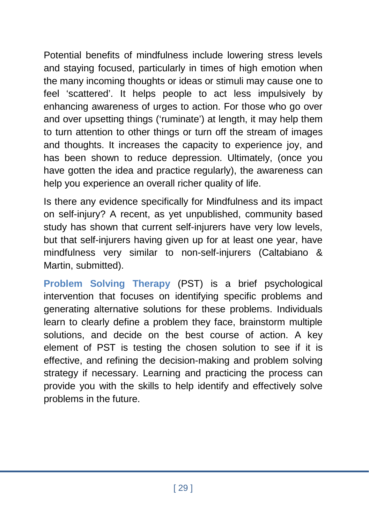Potential benefits of mindfulness include lowering stress levels and staying focused, particularly in times of high emotion when the many incoming thoughts or ideas or stimuli may cause one to feel 'scattered'. It helps people to act less impulsively by enhancing awareness of urges to action. For those who go over and over upsetting things ('ruminate') at length, it may help them to turn attention to other things or turn off the stream of images and thoughts. It increases the capacity to experience joy, and has been shown to reduce depression. Ultimately, (once you have gotten the idea and practice regularly), the awareness can help you experience an overall richer quality of life.

Is there any evidence specifically for Mindfulness and its impact on self-injury? A recent, as yet unpublished, community based study has shown that current self-injurers have very low levels, but that self-injurers having given up for at least one year, have mindfulness very similar to non-self-injurers (Caltabiano & Martin, submitted).

**Problem Solving Therapy** (PST) is a brief psychological intervention that focuses on identifying specific problems and generating alternative solutions for these problems. Individuals learn to clearly define a problem they face, brainstorm multiple solutions, and decide on the best course of action. A key element of PST is testing the chosen solution to see if it is effective, and refining the decision-making and problem solving strategy if necessary. Learning and practicing the process can provide you with the skills to help identify and effectively solve problems in the future.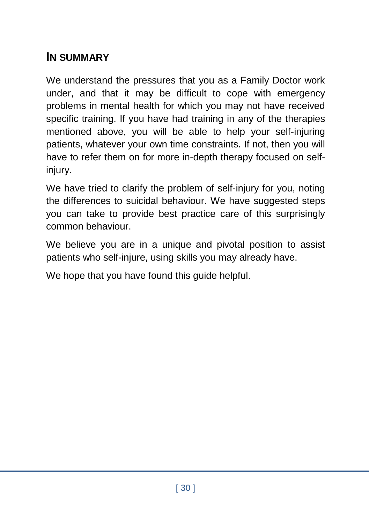## **IN SUMMARY**

We understand the pressures that you as a Family Doctor work under, and that it may be difficult to cope with emergency problems in mental health for which you may not have received specific training. If you have had training in any of the therapies mentioned above, you will be able to help your self-injuring patients, whatever your own time constraints. If not, then you will have to refer them on for more in-depth therapy focused on selfinjury.

We have tried to clarify the problem of self-injury for you, noting the differences to suicidal behaviour. We have suggested steps you can take to provide best practice care of this surprisingly common behaviour.

We believe you are in a unique and pivotal position to assist patients who self-injure, using skills you may already have.

We hope that you have found this guide helpful.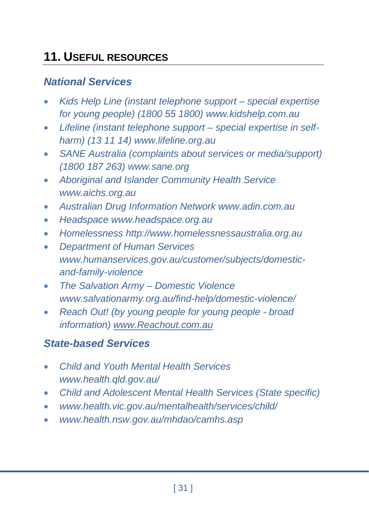## **11. USEFUL RESOURCES**

#### *National Services*

- *Kids Help Line (instant telephone support – special expertise for young people) (1800 55 1800) [www.kidshelp.com.au](http://www.kidshelp.com.au/#_blank)*
- *Lifeline (instant telephone support – special expertise in selfharm) (13 11 14) www.lifeline.org.au*
- *SANE Australia (complaints about services or media/support) (1800 187 263) www.sane.org*
- *Aboriginal and Islander Community Health Service www.aichs.org.au*
- *Australian Drug Information Network [www.adin.com.au](http://www.adin.com.au/)*
- *Headspace [www.headspace.org.au](http://www.headspace.org.au/)*
- *Homelessness http://www.homelessnessaustralia.org.au*
- *Department of Human Services [www.humanservices.gov.au/customer/subjects/domestic](http://www.humanservices.gov.au/customer/subjects/domestic-and-family-violence)[and-family-violence](http://www.humanservices.gov.au/customer/subjects/domestic-and-family-violence)*
- *The Salvation Army – Domestic Violence [www.salvationarmy.org.au/find-help/domestic-violence/](http://www.salvationarmy.org.au/find-help/domestic-violence/)*
- *Reach Out! (by young people for young people - broad information) [www.Reachout.com.au](http://www.reachout.com.au/)*

#### *State-based Services*

- *Child and Youth Mental Health Services [www.health.qld.gov.au/](http://www.health.qld.gov.au/)*
- *Child and Adolescent Mental Health Services (State specific)*
- *www.health.vic.gov.au/mentalhealth/services/child/*
- *[www.health.nsw.gov.au/mhdao/camhs.asp](http://www.health.nsw.gov.au/mhdao/camhs.asp)*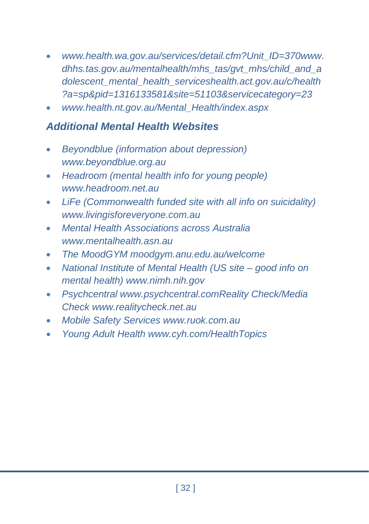- *[www.health.wa.gov.au/services/detail.cfm?Unit\\_ID=370www.](http://www.health.wa.gov.au/services/detail.cfm?Unit_ID=370) dhhs.tas.gov.au/mentalhealth/mhs\_tas/gvt\_mhs/child\_and\_a dolescent\_mental\_health\_service[shealth.act.gov.au/c/health](http://health.act.gov.au/c/health?a=sp&pid=1316133581&site=51103&servicecategory=23) [?a=sp&pid=1316133581&site=51103&servicecategory=23](http://health.act.gov.au/c/health?a=sp&pid=1316133581&site=51103&servicecategory=23)*
- *[www.health.nt.gov.au/Mental\\_Health/index.aspx](http://www.health.nt.gov.au/Mental_Health/index.aspx)*

#### *Additional Mental Health Websites*

- *Beyondblue (information about depression) [www.beyondblue.org.au](http://www.beyondblue.org.au/#_blank)*
- *Headroom (mental health info for young people) [www.headroom.net.au](http://www.headroom.net.au/#_blank)*
- *LiFe (Commonwealth funded site with all info on suicidality) www.livingisforeveryone.com.au*
- *Mental Health Associations across Australia www.mentalhealth.asn.au*
- *The MoodGYM moodgym.anu.edu.au/welcome*
- *National Institute of Mental Health (US site – good info on mental health) www.nimh.nih.gov*
- *Psychcentral www.psychcentral.comReality Check/Media Check [www.realitycheck.net.au](http://www.realitycheck.net.au/#_blank)*
- *Mobile Safety Services [www.ruok.com.au](http://www.ruok.com.au/#_blank)*
- *Young Adult Health www.cyh.com/HealthTopics*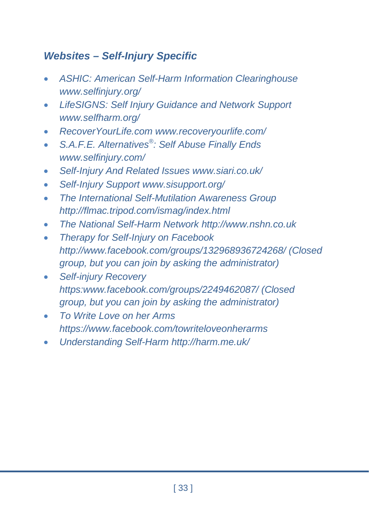#### *Websites – Self-Injury Specific*

- *ASHIC: American Self-Harm Information Clearinghouse [www.selfinjury.org/](http://www.selfinjury.org/)*
- *LifeSIGNS: Self Injury Guidance and Network Support www.selfharm.org/*
- *RecoverYourLife.com www.recoveryourlife.com/*
- *S.A.F.E. Alternatives®: Self Abuse Finally Ends www.selfinjury.com/*
- *Self-Injury And Related Issues www.siari.co.uk/*
- *Self-Injury Support www.sisupport.org/*
- *The International Self-Mutilation Awareness Group http://flmac.tripod.com/ismag/index.html*
- *The National Self-Harm Network http://www.nshn.co.uk*
- *Therapy for Self-Injury on Facebook <http://www.facebook.com/groups/132968936724268/> (Closed group, but you can join by asking the administrator)*
- *Self-injury Recovery https:www.facebook.com/groups/2249462087/ (Closed group, but you can join by asking the administrator)*
- *To Write Love on her Arms https://www.facebook.com/towriteloveonherarms*
- *Understanding Self-Harm<http://harm.me.uk/>*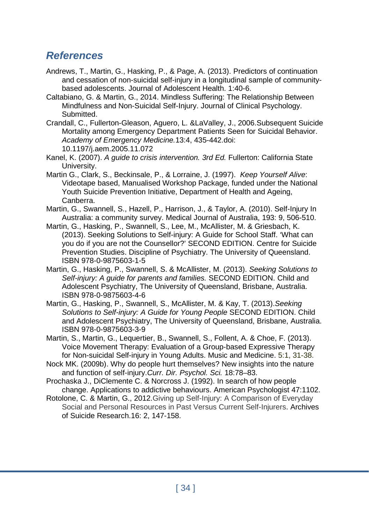#### *References*

- Andrews, T., Martin, G., Hasking, P., & Page, A. (2013). Predictors of continuation and cessation of non-suicidal self-injury in a longitudinal sample of communitybased adolescents. Journal of Adolescent Health. 1:40-6.
- Caltabiano, G. & Martin, G., 2014. Mindless Suffering: The Relationship Between Mindfulness and Non-Suicidal Self-Injury. Journal of Clinical Psychology. **Submitted.**
- Crandall, C., Fullerton-Gleason, Aguero, L. &LaValley, J., 2006.Subsequent Suicide Mortality among Emergency Department Patients Seen for Suicidal Behavior. *Academy of Emergency Medicine.*13:4, 435-442.doi: 10.1197/j.aem.2005.11.072
- Kanel, K. (2007). *A guide to crisis intervention. 3rd Ed.* Fullerton: California State University.
- Martin G., Clark, S., Beckinsale, P., & Lorraine, J. (1997). *Keep Yourself Alive*: Videotape based, Manualised Workshop Package, funded under the National Youth Suicide Prevention Initiative, Department of Health and Ageing, Canberra.
- Martin, G., Swannell, S., Hazell, P., Harrison, J., & Taylor, A. (2010). Self-Injury In Australia: a community survey. Medical Journal of Australia, 193: 9, 506-510.
- Martin, G., Hasking, P., Swannell, S., Lee, M., McAllister, M. & Griesbach, K. (2013). Seeking Solutions to Self-injury: A Guide for School Staff. 'What can you do if you are not the Counsellor?' SECOND EDITION. Centre for Suicide Prevention Studies. Discipline of Psychiatry. The University of Queensland. ISBN 978-0-9875603-1-5
- Martin, G., Hasking, P., Swannell, S. & McAllister, M. (2013). *Seeking Solutions to Self-injury: A guide for parents and families.* SECOND EDITION. Child and Adolescent Psychiatry, The University of Queensland, Brisbane, Australia. ISBN 978-0-9875603-4-6
- Martin, G., Hasking, P., Swannell, S., McAllister, M. & Kay, T. (2013).*Seeking Solutions to Self-injury: A Guide for Young People* SECOND EDITION. Child and Adolescent Psychiatry, The University of Queensland, Brisbane, Australia. ISBN 978-0-9875603-3-9
- Martin, S., Martin, G., Lequertier, B., Swannell, S., Follent, A. & Choe, F. (2013). Voice Movement Therapy: Evaluation of a Group-based Expressive Therapy for Non-suicidal Self-injury in Young Adults. Music and Medicine. 5:1, 31-38.
- Nock MK. (2009b). Why do people hurt themselves? New insights into the nature and function of self-injury.*Curr. Dir. Psychol. Sci.* 18:78–83.
- Prochaska J., DiClemente C. & Norcross J. (1992). In search of how people change. Applications to addictive behaviours. American Psychologist 47:1102.
- Rotolone, C. & Martin, G., 2012.Giving up Self-Injury: A Comparison of Everyday Social and Personal Resources in Past Versus Current Self-Injurers. Archives of Suicide Research.16: 2, 147-158.